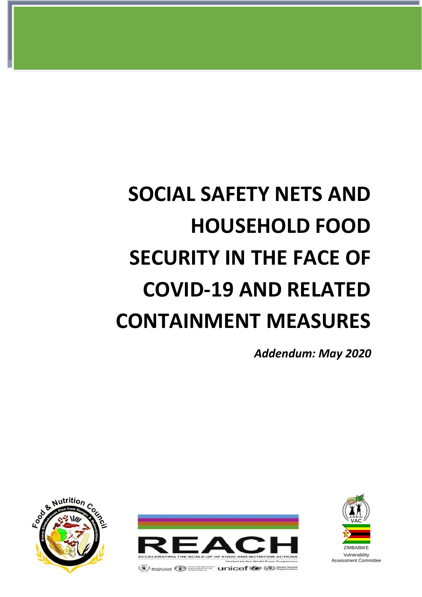# **SOCIAL SAFETY NETS AND HOUSEHOLD FOOD SECURITY IN THE FACE OF COVID-19 AND RELATED CONTAINMENT MEASURES**

*Addendum: May 2020*







Assessment Committee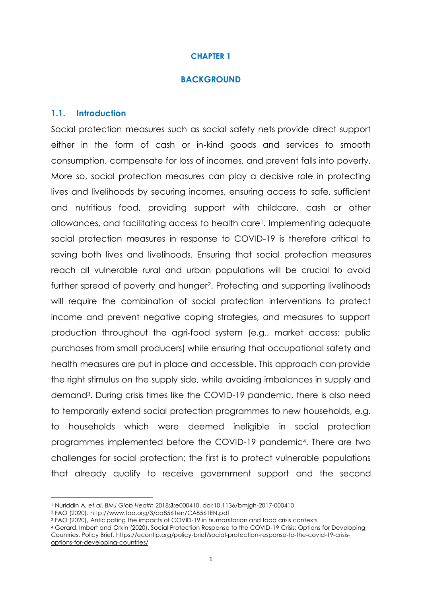### **BACKGROUND**

#### **1.1. Introduction**

Social protection measures such as social safety nets provide direct support either in the form of cash or in-kind goods and services to smooth consumption, compensate for loss of incomes, and prevent falls into poverty. More so, social protection measures can play a decisive role in protecting lives and livelihoods by securing incomes, ensuring access to safe, sufficient and nutritious food, providing support with childcare, cash or other allowances, and facilitating access to health care1. Implementing adequate social protection measures in response to COVID-19 is therefore critical to saving both lives and livelihoods. Ensuring that social protection measures reach all vulnerable rural and urban populations will be crucial to avoid further spread of poverty and hunger<sup>2</sup>. Protecting and supporting livelihoods will require the combination of social protection interventions to protect income and prevent negative coping strategies, and measures to support production throughout the agri-food system (e.g., market access; public purchases from small producers) while ensuring that occupational safety and health measures are put in place and accessible. This approach can provide the right stimulus on the supply side, while avoiding imbalances in supply and demand3. During crisis times like the COVID-19 pandemic, there is also need to temporarily extend social protection programmes to new households, e.g. to households which were deemed ineligible in social protection programmes implemented before the COVID-19 pandemic4. There are two challenges for social protection; the first is to protect vulnerable populations that already qualify to receive government support and the second

-

<sup>4</sup> Gerard, Imbert and Orkin (2020). Social Protection Response to the COVID-19 Crisis: Options for Developing Countries. Policy Brief. [https://econfip.org/policy-brief/social-protection-response-to-the-covid-19-crisis](https://econfip.org/policy-brief/social-protection-response-to-the-covid-19-crisis-options-for-developing-countries/)[options-for-developing-countries/](https://econfip.org/policy-brief/social-protection-response-to-the-covid-19-crisis-options-for-developing-countries/)

<sup>1</sup> Nuriddin A, *et al*. *BMJ Glob Health* 2018;**3**:e000410. doi:10.1136/bmjgh-2017-000410

<sup>2</sup> FAO (2020).<http://www.fao.org/3/ca8561en/CA8561EN.pdf>

<sup>3</sup> FAO (2020), Anticipating the impacts of COVID-19 in humanitarian and food crisis contexts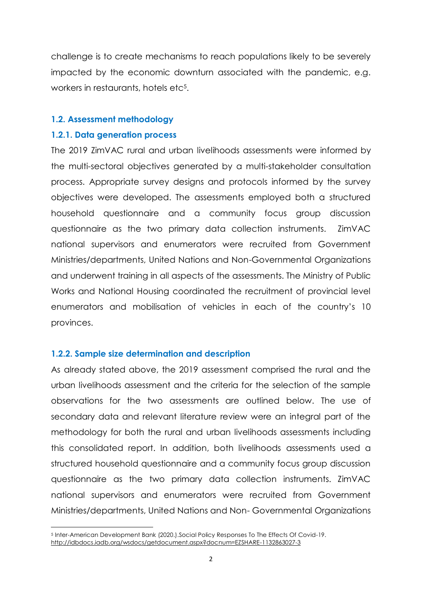challenge is to create mechanisms to reach populations likely to be severely impacted by the economic downturn associated with the pandemic, e.g. workers in restaurants, hotels etc<sup>5</sup>.

## **1.2. Assessment methodology**

## **1.2.1. Data generation process**

The 2019 ZimVAC rural and urban livelihoods assessments were informed by the multi-sectoral objectives generated by a multi-stakeholder consultation process. Appropriate survey designs and protocols informed by the survey objectives were developed. The assessments employed both a structured household questionnaire and a community focus group discussion questionnaire as the two primary data collection instruments. ZimVAC national supervisors and enumerators were recruited from Government Ministries/departments, United Nations and Non-Governmental Organizations and underwent training in all aspects of the assessments. The Ministry of Public Works and National Housing coordinated the recruitment of provincial level enumerators and mobilisation of vehicles in each of the country's 10 provinces.

## **1.2.2. Sample size determination and description**

As already stated above, the 2019 assessment comprised the rural and the urban livelihoods assessment and the criteria for the selection of the sample observations for the two assessments are outlined below. The use of secondary data and relevant literature review were an integral part of the methodology for both the rural and urban livelihoods assessments including this consolidated report. In addition, both livelihoods assessments used a structured household questionnaire and a community focus group discussion questionnaire as the two primary data collection instruments. ZimVAC national supervisors and enumerators were recruited from Government Ministries/departments, United Nations and Non- Governmental Organizations

**<sup>.</sup>** <sup>5</sup> Inter-American Development Bank (2020.).Social Policy Responses To The Effects Of Covid-19. <http://idbdocs.iadb.org/wsdocs/getdocument.aspx?docnum=EZSHARE-1132863027-3>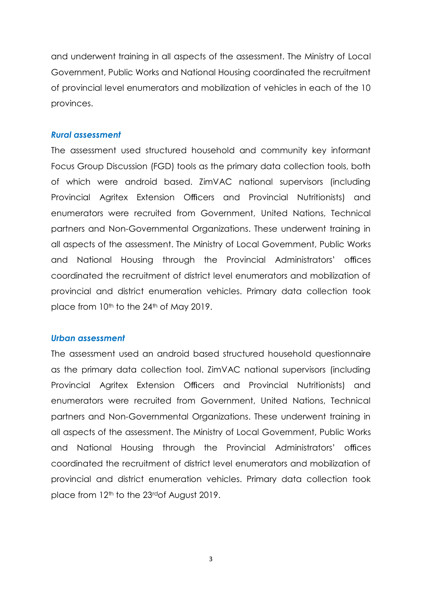and underwent training in all aspects of the assessment. The Ministry of Local Government, Public Works and National Housing coordinated the recruitment of provincial level enumerators and mobilization of vehicles in each of the 10 provinces.

#### *Rural assessment*

The assessment used structured household and community key informant Focus Group Discussion (FGD) tools as the primary data collection tools, both of which were android based. ZimVAC national supervisors (including Provincial Agritex Extension Officers and Provincial Nutritionists) and enumerators were recruited from Government, United Nations, Technical partners and Non-Governmental Organizations. These underwent training in all aspects of the assessment. The Ministry of Local Government, Public Works and National Housing through the Provincial Administrators' offices coordinated the recruitment of district level enumerators and mobilization of provincial and district enumeration vehicles. Primary data collection took place from 10<sup>th</sup> to the 24<sup>th</sup> of May 2019.

#### *Urban assessment*

The assessment used an android based structured household questionnaire as the primary data collection tool. ZimVAC national supervisors (including Provincial Agritex Extension Officers and Provincial Nutritionists) and enumerators were recruited from Government, United Nations, Technical partners and Non-Governmental Organizations. These underwent training in all aspects of the assessment. The Ministry of Local Government, Public Works and National Housing through the Provincial Administrators' offices coordinated the recruitment of district level enumerators and mobilization of provincial and district enumeration vehicles. Primary data collection took place from 12<sup>th</sup> to the 23<sup>rd</sup> of August 2019.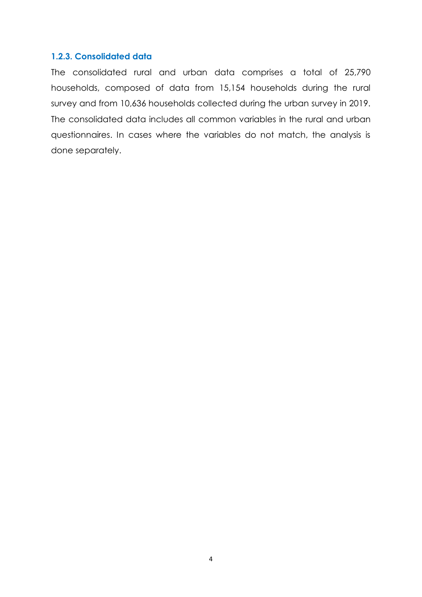## **1.2.3. Consolidated data**

The consolidated rural and urban data comprises a total of 25,790 households, composed of data from 15,154 households during the rural survey and from 10,636 households collected during the urban survey in 2019. The consolidated data includes all common variables in the rural and urban questionnaires. In cases where the variables do not match, the analysis is done separately.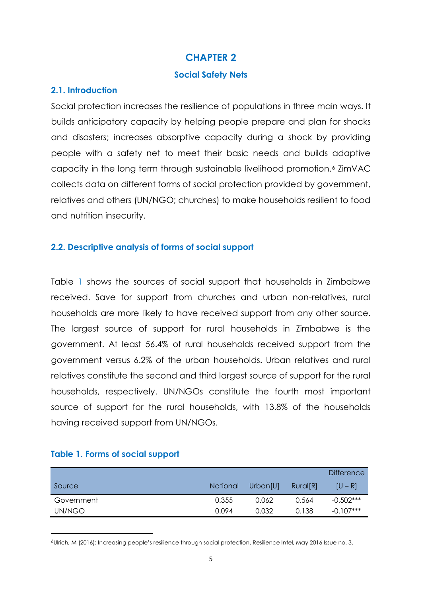## **Social Safety Nets**

## **2.1. Introduction**

Social protection increases the resilience of populations in three main ways. It builds anticipatory capacity by helping people prepare and plan for shocks and disasters; increases absorptive capacity during a shock by providing people with a safety net to meet their basic needs and builds adaptive capacity in the long term through sustainable livelihood promotion.<sup>6</sup> ZimVAC collects data on different forms of social protection provided by government, relatives and others (UN/NGO; churches) to make households resilient to food and nutrition insecurity.

## **2.2. Descriptive analysis of forms of social support**

Table 1 shows the sources of social support that households in Zimbabwe received. Save for support from churches and urban non-relatives, rural households are more likely to have received support from any other source. The largest source of support for rural households in Zimbabwe is the government. At least 56.4% of rural households received support from the government versus 6.2% of the urban households. Urban relatives and rural relatives constitute the second and third largest source of support for the rural households, respectively. UN/NGOs constitute the fourth most important source of support for the rural households, with 13.8% of the households having received support from UN/NGOs.

|            |          |          |          | <b>Difference</b> |
|------------|----------|----------|----------|-------------------|
| Source     | National | Urban[U] | Rural[R] | $[U - R]$         |
| Government | 0.355    | 0.062    | 0.564    | $-0.502***$       |
| UN/NGO     | 0.094    | 0.032    | 0.138    | $-0.107***$       |

## **Table 1. Forms of social support**

**.** 

<sup>6</sup>Ulrich, M (2016): Increasing people's resilience through social protection, Resilience Intel, May 2016 Issue no. 3.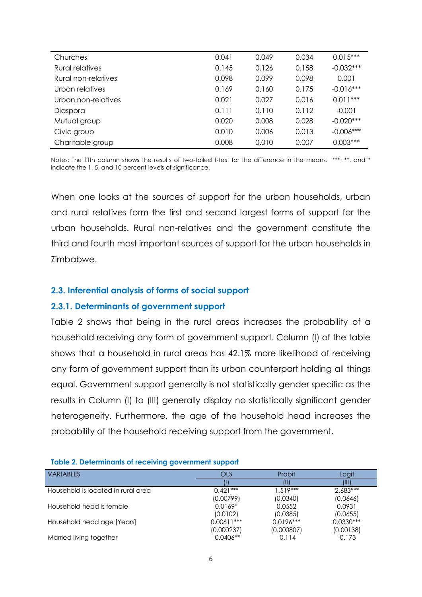| Churches            | 0.041 | 0.049 | 0.034 | $0.015***$  |
|---------------------|-------|-------|-------|-------------|
| Rural relatives     | 0.145 | 0.126 | 0.158 | $-0.032***$ |
| Rural non-relatives | 0.098 | 0.099 | 0.098 | 0.001       |
| Urban relatives     | 0.169 | 0.160 | 0.175 | $-0.016***$ |
| Urban non-relatives | 0.021 | 0.027 | 0.016 | $0.011***$  |
| Diaspora            | 0.111 | 0.110 | 0.112 | $-0.001$    |
| Mutual group        | 0.020 | 0.008 | 0.028 | $-0.020***$ |
| Civic group         | 0.010 | 0.006 | 0.013 | $-0.006***$ |
| Charitable group    | 0.008 | 0.010 | 0.007 | $0.003***$  |

Notes: The fifth column shows the results of two-tailed t-test for the difference in the means. \*\*\*, \*\*, and \* indicate the 1, 5, and 10 percent levels of significance.

When one looks at the sources of support for the urban households, urban and rural relatives form the first and second largest forms of support for the urban households. Rural non-relatives and the government constitute the third and fourth most important sources of support for the urban households in Zimbabwe.

## **2.3. Inferential analysis of forms of social support**

#### **2.3.1. Determinants of government support**

Table 2 shows that being in the rural areas increases the probability of a household receiving any form of government support. Column (I) of the table shows that a household in rural areas has 42.1% more likelihood of receiving any form of government support than its urban counterpart holding all things equal. Government support generally is not statistically gender specific as the results in Column (I) to (III) generally display no statistically significant gender heterogeneity. Furthermore, the age of the household head increases the probability of the household receiving support from the government.

#### **Table 2. Determinants of receiving government support**

| <b>VARIABLES</b>                   | <b>OLS</b>   | Probit      | Logit       |
|------------------------------------|--------------|-------------|-------------|
|                                    |              | (II)        | (III)       |
| Household is located in rural area | $0.421***$   | $1.519***$  | $2.683***$  |
|                                    | (0.00799)    | (0.0340)    | (0.0646)    |
| Household head is female           | $0.0169*$    | 0.0552      | 0.0931      |
|                                    | (0.0102)     | (0.0385)    | (0.0655)    |
| Household head age [Years]         | $0.00611***$ | $0.0196***$ | $0.0330***$ |
|                                    | (0.000237)   | (0.000807)  | (0.00138)   |
| Married living together            | $-0.0406**$  | $-0.114$    | $-0.173$    |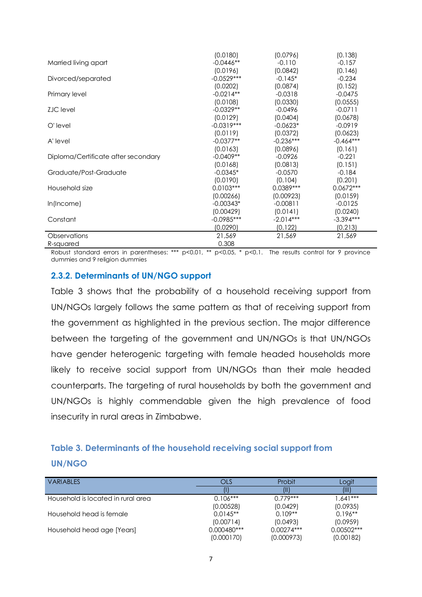|                                     | (0.0180)     | (0.0796)    | (0.138)     |
|-------------------------------------|--------------|-------------|-------------|
| Married living apart                | $-0.0446**$  | $-0.110$    | $-0.157$    |
|                                     | (0.0196)     | (0.0842)    | (0.146)     |
| Divorced/separated                  | $-0.0529***$ | $-0.145*$   | $-0.234$    |
|                                     | (0.0202)     | (0.0874)    | (0.152)     |
| Primary level                       | $-0.0214**$  | $-0.0318$   | $-0.0475$   |
|                                     | (0.0108)     | (0.0330)    | (0.0555)    |
| <b>ZJC</b> level                    | $-0.0329**$  | $-0.0496$   | $-0.0711$   |
|                                     | (0.0129)     | (0.0404)    | (0.0678)    |
| O'level                             | $-0.0319***$ | $-0.0623*$  | $-0.0919$   |
|                                     | (0.0119)     | (0.0372)    | (0.0623)    |
| A' level                            | $-0.0377**$  | $-0.236***$ | $-0.464***$ |
|                                     | (0.0163)     | (0.0896)    | (0.161)     |
| Diploma/Certificate after secondary | $-0.0409**$  | $-0.0926$   | $-0.221$    |
|                                     | (0.0168)     | (0.0813)    | (0.151)     |
| Graduate/Post-Graduate              | $-0.0345*$   | $-0.0570$   | $-0.184$    |
|                                     | (0.0190)     | (0.104)     | (0.201)     |
| Household size                      | $0.0103***$  | $0.0389***$ | $0.0672***$ |
|                                     | (0.00266)    | (0.00923)   | (0.0159)    |
| $ln($ Income $)$                    | $-0.00343*$  | $-0.00811$  | $-0.0125$   |
|                                     | (0.00429)    | (0.0141)    | (0.0240)    |
| Constant                            | $-0.0985***$ | $-2.014***$ | $-3.394***$ |
|                                     | (0.0290)     | (0.122)     | (0.213)     |
| <b>Observations</b>                 | 21,569       | 21,569      | 21,569      |
| R-squared                           | 0.308        |             |             |

Robust standard errors in parentheses: \*\*\* p<0.01, \*\* p<0.05, \* p<0.1. The results control for 9 province dummies and 9 religion dummies

## **2.3.2. Determinants of UN/NGO support**

[Table 3](#page-7-0) shows that the probability of a household receiving support from UN/NGOs largely follows the same pattern as that of receiving support from the government as highlighted in the previous section. The major difference between the targeting of the government and UN/NGOs is that UN/NGOs have gender heterogenic targeting with female headed households more likely to receive social support from UN/NGOs than their male headed counterparts. The targeting of rural households by both the government and UN/NGOs is highly commendable given the high prevalence of food insecurity in rural areas in Zimbabwe.

# <span id="page-7-0"></span>**Table 3. Determinants of the household receiving social support from UN/NGO**

| <b>VARIABLES</b>                   | OLS           | Probit       | Logit        |
|------------------------------------|---------------|--------------|--------------|
|                                    |               |              | AN           |
| Household is located in rural area | $0.106***$    | $0.779***$   | $1.641***$   |
|                                    | (0.00528)     | (0.0429)     | (0.0935)     |
| Household head is female           | $0.0145**$    | $0.109**$    | $0.196**$    |
|                                    | (0.00714)     | (0.0493)     | (0.0959)     |
| Household head age [Years]         | $0.000480***$ | $0.00274***$ | $0.00502***$ |
|                                    | (0.000170)    | (0.000973)   | (0.00182)    |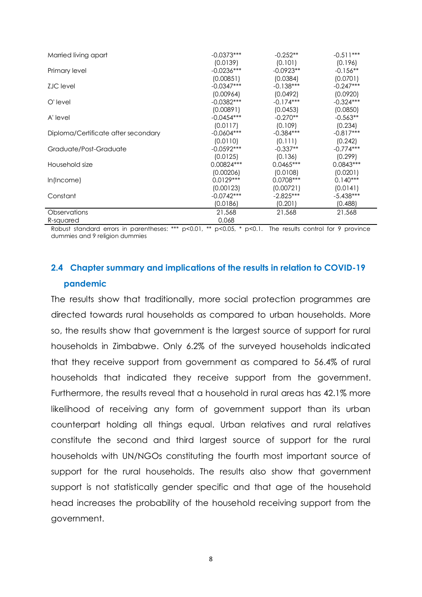| Married living apart                | $-0.0373***$ | $-0.252**$  | $-0.511***$ |
|-------------------------------------|--------------|-------------|-------------|
|                                     | (0.0139)     | (0.101)     | (0.196)     |
| Primary level                       | $-0.0236***$ | $-0.0923**$ | $-0.156**$  |
|                                     | (0.00851)    | (0.0384)    | (0.0701)    |
| <b>ZJC</b> level                    | $-0.0347***$ | $-0.138***$ | $-0.247***$ |
|                                     | (0.00964)    | (0.0492)    | (0.0920)    |
| O'level                             | $-0.0382***$ | $-0.174***$ | $-0.324***$ |
|                                     | (0.00891)    | (0.0453)    | (0.0850)    |
| A' level                            | $-0.0454***$ | $-0.270**$  | $-0.563**$  |
|                                     | (0.0117)     | (0.109)     | (0.234)     |
| Diploma/Certificate after secondary | $-0.0604***$ | $-0.384***$ | $-0.817***$ |
|                                     | (0.0110)     | (0.111)     | (0.242)     |
| Graduate/Post-Graduate              | $-0.0592***$ | $-0.337**$  | $-0.774***$ |
|                                     | (0.0125)     | (0.136)     | (0.299)     |
| Household size                      | 0.00824***   | $0.0465***$ | $0.0843***$ |
|                                     | (0.00206)    | (0.0108)    | (0.0201)    |
| $ln($ Income $)$                    | $0.0129***$  | $0.0708***$ | $0.140***$  |
|                                     | (0.00123)    | (0.00721)   | (0.0141)    |
| Constant                            | $-0.0742***$ | $-2.825***$ | $-5.438***$ |
|                                     | (0.0186)     | (0.201)     | (0.488)     |
| Observations                        | 21,568       | 21,568      | 21,568      |
| R-squared                           | 0.068        |             |             |

Robust standard errors in parentheses: \*\*\* p<0.01, \*\* p<0.05, \* p<0.1. The results control for 9 province dummies and 9 religion dummies

# **2.4 Chapter summary and implications of the results in relation to COVID-19 pandemic**

The results show that traditionally, more social protection programmes are directed towards rural households as compared to urban households. More so, the results show that government is the largest source of support for rural households in Zimbabwe. Only 6.2% of the surveyed households indicated that they receive support from government as compared to 56.4% of rural households that indicated they receive support from the government. Furthermore, the results reveal that a household in rural areas has 42.1% more likelihood of receiving any form of government support than its urban counterpart holding all things equal. Urban relatives and rural relatives constitute the second and third largest source of support for the rural households with UN/NGOs constituting the fourth most important source of support for the rural households. The results also show that government support is not statistically gender specific and that age of the household head increases the probability of the household receiving support from the government.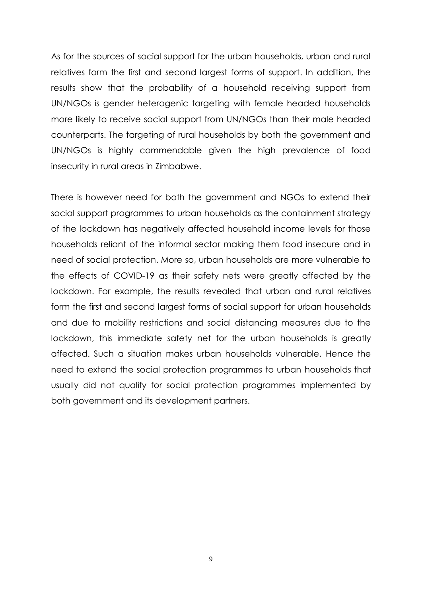As for the sources of social support for the urban households, urban and rural relatives form the first and second largest forms of support. In addition, the results show that the probability of a household receiving support from UN/NGOs is gender heterogenic targeting with female headed households more likely to receive social support from UN/NGOs than their male headed counterparts. The targeting of rural households by both the government and UN/NGOs is highly commendable given the high prevalence of food insecurity in rural areas in Zimbabwe.

There is however need for both the government and NGOs to extend their social support programmes to urban households as the containment strategy of the lockdown has negatively affected household income levels for those households reliant of the informal sector making them food insecure and in need of social protection. More so, urban households are more vulnerable to the effects of COVID-19 as their safety nets were greatly affected by the lockdown. For example, the results revealed that urban and rural relatives form the first and second largest forms of social support for urban households and due to mobility restrictions and social distancing measures due to the lockdown, this immediate safety net for the urban households is greatly affected. Such a situation makes urban households vulnerable. Hence the need to extend the social protection programmes to urban households that usually did not qualify for social protection programmes implemented by both government and its development partners.

9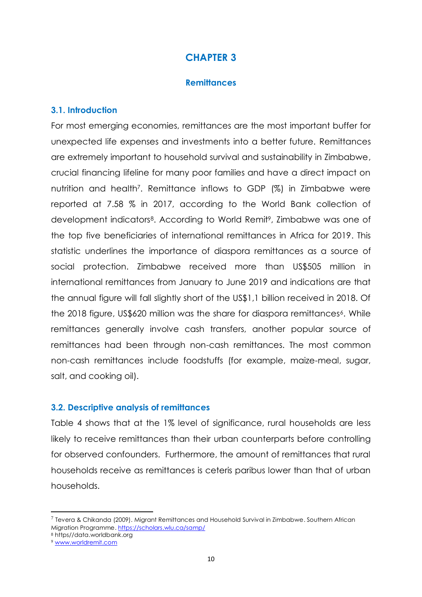## **Remittances**

## **3.1. Introduction**

For most emerging economies, remittances are the most important buffer for unexpected life expenses and investments into a better future. Remittances are extremely important to household survival and sustainability in Zimbabwe, crucial financing lifeline for many poor families and have a direct impact on nutrition and health<sup>7</sup>. Remittance inflows to GDP (%) in Zimbabwe were reported at 7.58 % in 2017, according to the World Bank collection of development indicators8. According to World Remit9, Zimbabwe was one of the top five beneficiaries of international remittances in Africa for 2019. This statistic underlines the importance of diaspora remittances as a source of social protection. Zimbabwe received more than US\$505 million in international remittances from January to June 2019 and indications are that the annual figure will fall slightly short of the US\$1,1 billion received in 2018. Of the 2018 figure, US\$620 million was the share for diaspora remittances<sup>6</sup>. While remittances generally involve cash transfers, another popular source of remittances had been through non-cash remittances. The most common non-cash remittances include foodstuffs (for example, maize-meal, sugar, salt, and cooking oil).

## **3.2. Descriptive analysis of remittances**

[Table 4](#page-11-0) shows that at the 1% level of significance, rural households are less likely to receive remittances than their urban counterparts before controlling for observed confounders. Furthermore, the amount of remittances that rural households receive as remittances is ceteris paribus lower than that of urban households.

**.** 

 $^7$  Tevera & Chikanda (2009)[. Migrant Remittances and Household Survival in Zimbabwe.](https://scholars.wlu.ca/cgi/viewcontent.cgi?article=1045&context=samp) Southern African [Migration Programme.](https://scholars.wlu.ca/samp)<https://scholars.wlu.ca/samp/>

<sup>8</sup> https//data.worldbank.org

<sup>9</sup> [www.worldremit.com](http://www.worldremit.com/)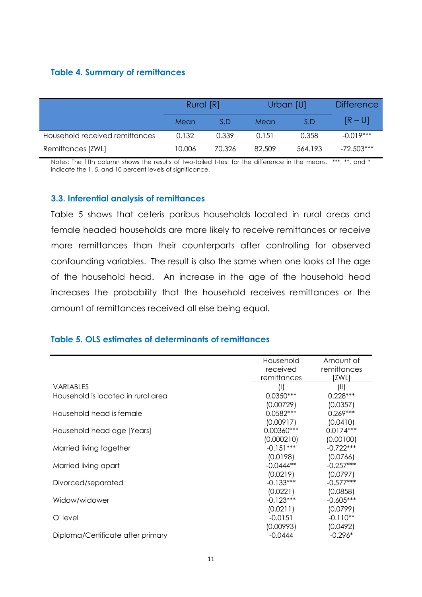## <span id="page-11-0"></span>**Table 4. Summary of remittances**

|                                | Rural [R] |        | Urban [U] |         | <b>Difference</b> |
|--------------------------------|-----------|--------|-----------|---------|-------------------|
|                                | Mean      | S.D    | Mean      | S.D     | $[R-U]$           |
| Household received remittances | 0.132     | 0.339  | 0.151     | 0.358   | $-0.019***$       |
| Remittances [ZWL]              | 10.006    | 70.326 | 82.509    | 564.193 | $-72.503***$      |

Notes: The fifth column shows the results of two-tailed t-test for the difference in the means. \*\*\*, \*\*, and \* indicate the 1, 5, and 10 percent levels of significance.

## **3.3. Inferential analysis of remittances**

[Table 5](#page-11-1) shows that ceteris paribus households located in rural areas and female headed households are more likely to receive remittances or receive more remittances than their counterparts after controlling for observed confounding variables. The result is also the same when one looks at the age of the household head. An increase in the age of the household head increases the probability that the household receives remittances or the amount of remittances received all else being equal.

## <span id="page-11-1"></span>**Table 5. OLS estimates of determinants of remittances**

|                                    | Household   | Amount of   |
|------------------------------------|-------------|-------------|
|                                    | received    | remittances |
|                                    | remittances | [ZWL]       |
| <b>VARIABLES</b>                   |             | (II)        |
| Household is located in rural area | $0.0350***$ | $0.228***$  |
|                                    | (0.00729)   | (0.0357)    |
| Household head is female           | $0.0582***$ | $0.269***$  |
|                                    | (0.00917)   | (0.0410)    |
| Household head age [Years]         | 0.00360***  | $0.0174***$ |
|                                    | (0.000210)  | (0.00100)   |
| Married living together            | $-0.151***$ | $-0.722***$ |
|                                    | (0.0198)    | (0.0766)    |
| Married living apart               | $-0.0444**$ | $-0.257***$ |
|                                    | (0.0219)    | (0.0797)    |
| Divorced/separated                 | $-0.133***$ | $-0.577***$ |
|                                    | (0.0221)    | (0.0858)    |
| Widow/widower                      | $-0.123***$ | $-0.605***$ |
|                                    | (0.0211)    | (0.0799)    |
| O'level                            | $-0.0151$   | $-0.110**$  |
|                                    | (0.00993)   | (0.0492)    |
| Diploma/Certificate after primary  | $-0.0444$   | $-0.296*$   |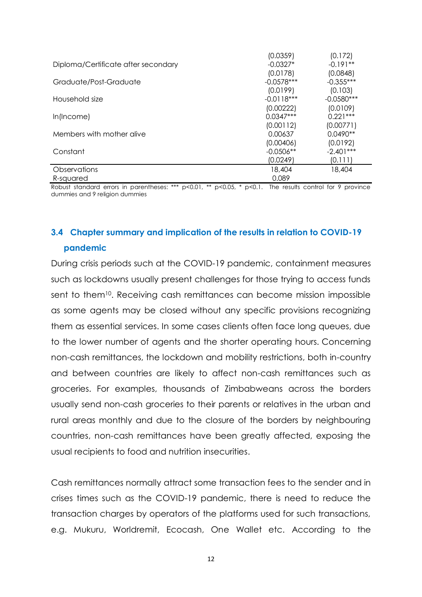|                                     | (0.0359)     | (0.172)      |
|-------------------------------------|--------------|--------------|
| Diploma/Certificate after secondary | $-0.0327*$   | $-0.191**$   |
|                                     | (0.0178)     | (0.0848)     |
| Graduate/Post-Graduate              | $-0.0578***$ | $-0.355***$  |
|                                     | (0.0199)     | (0.103)      |
| Household size                      | $-0.0118***$ | $-0.0580***$ |
|                                     | (0.00222)    | (0.0109)     |
| $ln($ Income $)$                    | $0.0347***$  | $0.221***$   |
|                                     | (0.00112)    | (0.00771)    |
| Members with mother alive           | 0.00637      | $0.0490**$   |
|                                     | (0.00406)    | (0.0192)     |
| Constant                            | $-0.0506**$  | $-2.401***$  |
|                                     | (0.0249)     | (0.111)      |
| Observations                        | 18,404       | 18,404       |
| R-squared                           | 0.089        |              |

Robust standard errors in parentheses: \*\*\*  $p<0.01$ , \*\*  $p<0.05$ , \*  $p<0.1$ . The results control for 9 province dummies and 9 religion dummies

# **3.4 Chapter summary and implication of the results in relation to COVID-19 pandemic**

During crisis periods such at the COVID-19 pandemic, containment measures such as lockdowns usually present challenges for those trying to access funds sent to them<sup>10</sup>. Receiving cash remittances can become mission impossible as some agents may be closed without any specific provisions recognizing them as essential services. In some cases clients often face long queues, due to the lower number of agents and the shorter operating hours. Concerning non-cash remittances, the lockdown and mobility restrictions, both in-country and between countries are likely to affect non-cash remittances such as groceries. For examples, thousands of Zimbabweans across the borders usually send non-cash groceries to their parents or relatives in the urban and rural areas monthly and due to the closure of the borders by neighbouring countries, non-cash remittances have been greatly affected, exposing the usual recipients to food and nutrition insecurities.

Cash remittances normally attract some transaction fees to the sender and in crises times such as the COVID-19 pandemic, there is need to reduce the transaction charges by operators of the platforms used for such transactions, e.g. Mukuru, Worldremit, Ecocash, One Wallet etc. According to the

12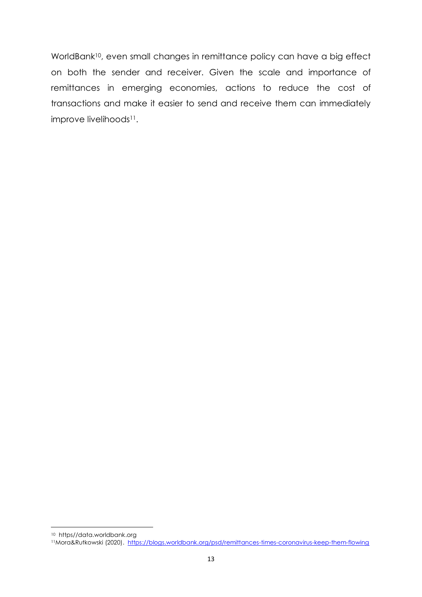WorldBank<sup>10</sup>, even small changes in remittance policy can have a big effect on both the sender and receiver. Given the scale and importance of remittances in emerging economies, actions to reduce the cost of transactions and make it easier to send and receive them can immediately improve livelihoods<sup>11</sup>.

**.** 

<sup>10</sup> https//data.worldbank.org

<sup>11</sup>Mora&Rutkowski (2020). <https://blogs.worldbank.org/psd/remittances-times-coronavirus-keep-them-flowing>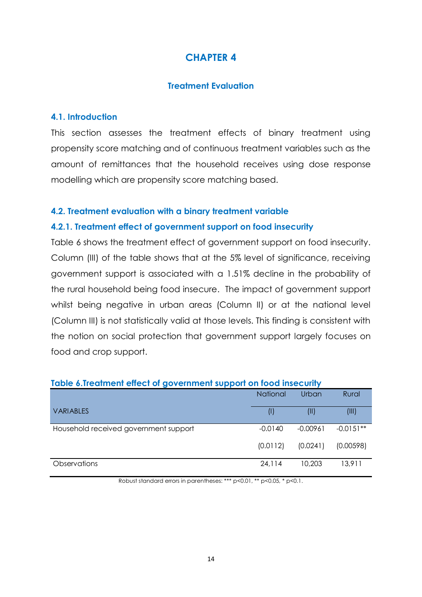## **Treatment Evaluation**

## **4.1. Introduction**

This section assesses the treatment effects of binary treatment using propensity score matching and of continuous treatment variables such as the amount of remittances that the household receives using dose response modelling which are propensity score matching based.

## **4.2. Treatment evaluation with a binary treatment variable**

## **4.2.1. Treatment effect of government support on food insecurity**

[Table 6](#page-14-0) shows the treatment effect of government support on food insecurity. Column (III) of the table shows that at the 5% level of significance, receiving government support is associated with a 1.51% decline in the probability of the rural household being food insecure. The impact of government support whilst being negative in urban areas (Column II) or at the national level (Column III) is not statistically valid at those levels. This finding is consistent with the notion on social protection that government support largely focuses on food and crop support.

| <u>rapid v.ndamnom ondor or governmom support on lood msddomly</u> |                 |            |             |  |
|--------------------------------------------------------------------|-----------------|------------|-------------|--|
|                                                                    | <b>National</b> | Urban      | Rural       |  |
| <b>VARIABLES</b>                                                   |                 | $($ II     | (III)       |  |
| Household received government support                              | $-0.0140$       | $-0.00961$ | $-0.0151**$ |  |
|                                                                    | (0.0112)        | (0.0241)   | (0.00598)   |  |
| Observations                                                       | 24,114          | 10,203     | 13,911      |  |

## <span id="page-14-0"></span>**Table 6.Treatment effect of government support on food insecurity**

Robust standard errors in parentheses: \*\*\* p<0.01, \*\* p<0.05, \* p<0.1.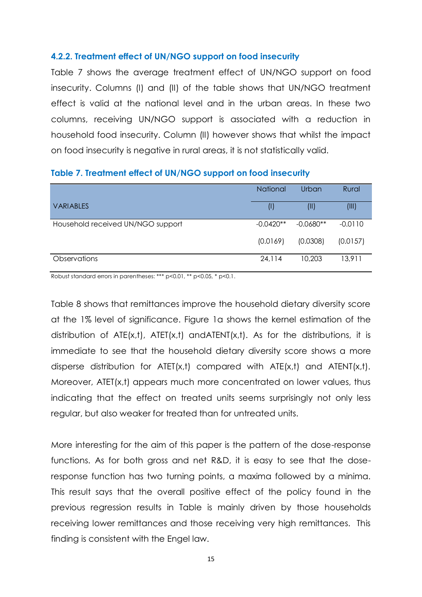## **4.2.2. Treatment effect of UN/NGO support on food insecurity**

[Table 7](#page-15-0) shows the average treatment effect of UN/NGO support on food insecurity. Columns (I) and (II) of the table shows that UN/NGO treatment effect is valid at the national level and in the urban areas. In these two columns, receiving UN/NGO support is associated with a reduction in household food insecurity. Column (II) however shows that whilst the impact on food insecurity is negative in rural areas, it is not statistically valid.

|                                   | <b>National</b> | Urban       | Rural     |
|-----------------------------------|-----------------|-------------|-----------|
| <b>VARIABLES</b>                  | O               | (II)        | (III)     |
| Household received UN/NGO support | $-0.0420**$     | $-0.0680**$ | $-0.0110$ |
|                                   | (0.0169)        | (0.0308)    | (0.0157)  |
| <b>Observations</b>               | 24,114          | 10,203      | 13,911    |

#### <span id="page-15-0"></span>**Table 7. Treatment effect of UN/NGO support on food insecurity**

Robust standard errors in parentheses: \*\*\* p<0.01, \*\* p<0.05, \* p<0.1.

[Table 8](#page-16-0) shows that remittances improve the household dietary diversity score at the 1% level of significance. Figure 1a shows the kernel estimation of the distribution of  $ATE(x,t)$ ,  $ATE(T(x,t)$  and  $ATEN(T(x,t))$ . As for the distributions, it is immediate to see that the household dietary diversity score shows a more disperse distribution for ATET(x,t) compared with ATE(x,t) and ATENT(x,t). Moreover, ATET(x,t) appears much more concentrated on lower values, thus indicating that the effect on treated units seems surprisingly not only less regular, but also weaker for treated than for untreated units.

More interesting for the aim of this paper is the pattern of the dose-response functions. As for both gross and net R&D, it is easy to see that the doseresponse function has two turning points, a maxima followed by a minima. This result says that the overall positive effect of the policy found in the previous regression results in Table is mainly driven by those households receiving lower remittances and those receiving very high remittances. This finding is consistent with the Engel law.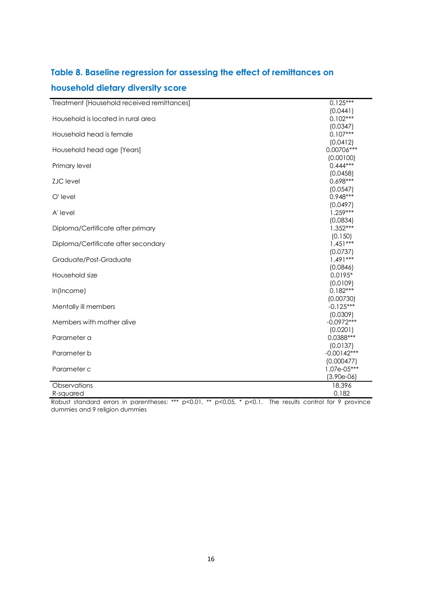# <span id="page-16-0"></span>**Table 8. Baseline regression for assessing the effect of remittances on**

# **household dietary diversity score**

| Treatment [Household received remittances] | $0.125***$    |
|--------------------------------------------|---------------|
|                                            | (0.0441)      |
| Household is located in rural area         | $0.102***$    |
|                                            | (0.0347)      |
| Household head is female                   | $0.107***$    |
|                                            | (0.0412)      |
| Household head age [Years]                 | 0.00706***    |
|                                            | (0.00100)     |
| Primary level                              | $0.444***$    |
|                                            | (0.0458)      |
| <b>ZJC</b> level                           | 0.698***      |
|                                            | (0.0547)      |
| O'level                                    | $0.948***$    |
|                                            | (0.0497)      |
| A' level                                   | $1.259***$    |
|                                            | (0.0834)      |
| Diploma/Certificate after primary          | $1.352***$    |
|                                            | (0.150)       |
| Diploma/Certificate after secondary        | $1.451***$    |
|                                            | (0.0737)      |
| Graduate/Post-Graduate                     | $1.491***$    |
|                                            | (0.0846)      |
| Household size                             | $0.0195*$     |
|                                            | (0.0109)      |
| In(Income)                                 | $0.182***$    |
|                                            | (0.00730)     |
| Mentally ill members                       | $-0.125***$   |
|                                            | (0.0309)      |
| Members with mother alive                  | $-0.0972***$  |
|                                            | (0.0201)      |
| Parameter a                                | $0.0388***$   |
|                                            | (0.0137)      |
| Parameter b                                | $-0.00142***$ |
|                                            | (0.000477)    |
| Parameter c                                | $1.07e-05***$ |
|                                            | $(3.90e-06)$  |
| Observations                               | 18,396        |
| R-squared                                  | 0.182         |

Robust standard errors in parentheses: \*\*\*  $p<0.01$ , \*\*  $p<0.05$ , \*  $p<0.1$ . The results control for 9 province dummies and 9 religion dummies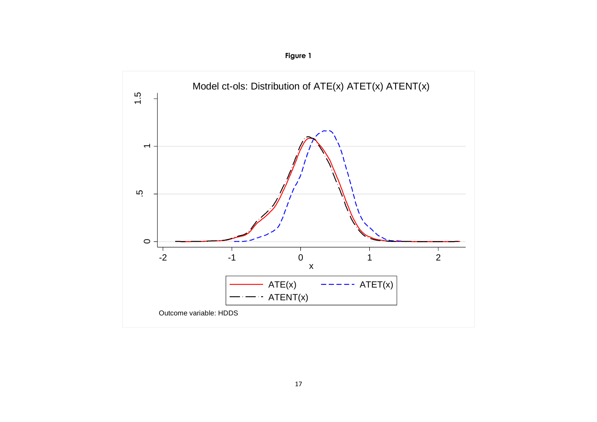

**Figure 1**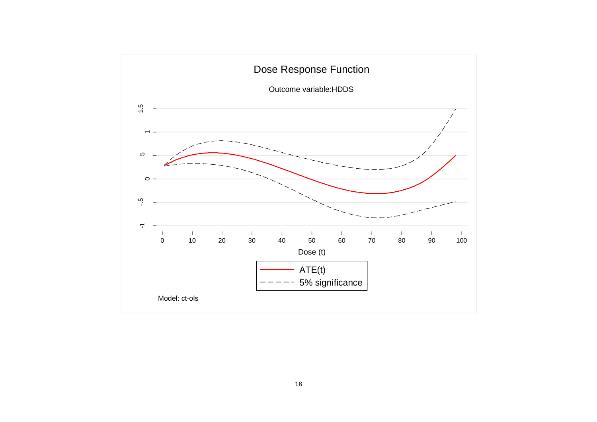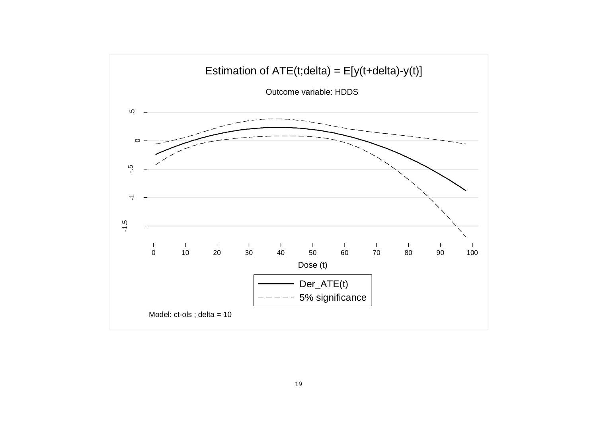